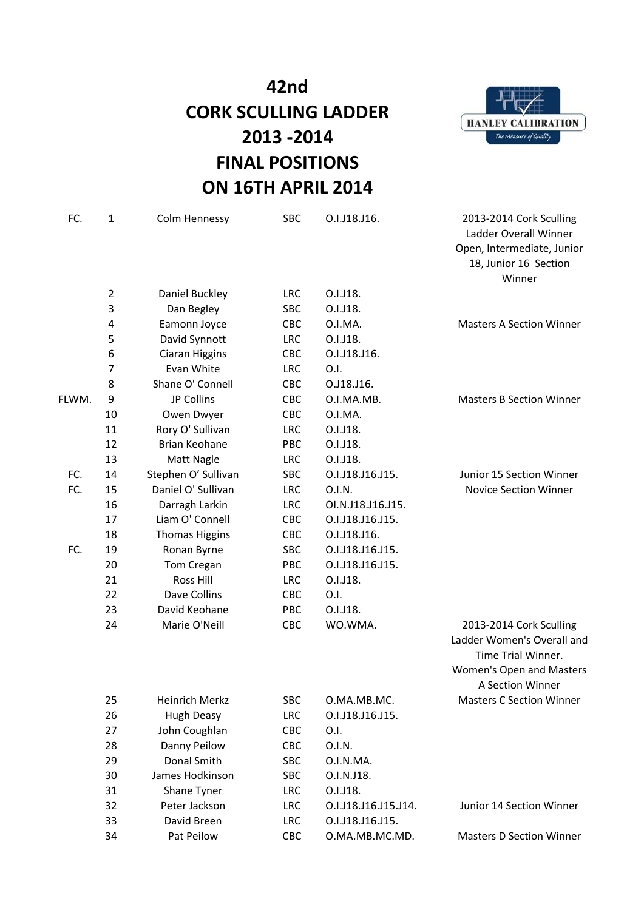

| FC.   | 1              | Colm Hennessy         | <b>SBC</b> | O.I.J18.J16.         | 2013-2014 Cork Sculling<br>Ladder Overall Winner<br>Open, Intermediate, Junior<br>18, Junior 16 Section<br>Winner           |
|-------|----------------|-----------------------|------------|----------------------|-----------------------------------------------------------------------------------------------------------------------------|
|       | $\overline{2}$ | Daniel Buckley        | <b>LRC</b> | O.I.J18.             |                                                                                                                             |
|       | 3              | Dan Begley            | <b>SBC</b> | O.I.J18.             |                                                                                                                             |
|       | 4              | Eamonn Joyce          | CBC        | O.I.MA.              | <b>Masters A Section Winner</b>                                                                                             |
|       | 5              | David Synnott         | <b>LRC</b> | O.I.J18.             |                                                                                                                             |
|       | 6              | Ciaran Higgins        | CBC        | O.I.J18.J16.         |                                                                                                                             |
|       | 7              | Evan White            | <b>LRC</b> | 0.1.                 |                                                                                                                             |
|       | 8              | Shane O' Connell      | <b>CBC</b> | O.J18.J16.           |                                                                                                                             |
| FLWM. | 9              | JP Collins            | CBC        | O.I.MA.MB.           | <b>Masters B Section Winner</b>                                                                                             |
|       | 10             | Owen Dwyer            | CBC        | O.I.MA.              |                                                                                                                             |
|       | 11             | Rory O' Sullivan      | <b>LRC</b> | O.I.J18.             |                                                                                                                             |
|       | 12             | Brian Keohane         | PBC        | O.I.J18.             |                                                                                                                             |
|       | 13             | Matt Nagle            | <b>LRC</b> | O.I.J18.             |                                                                                                                             |
| FC.   | 14             | Stephen O' Sullivan   | <b>SBC</b> | O.I.J18.J16.J15.     | Junior 15 Section Winner                                                                                                    |
| FC.   | 15             | Daniel O' Sullivan    | <b>LRC</b> | 0.I.N.               | <b>Novice Section Winner</b>                                                                                                |
|       | 16             | Darragh Larkin        | <b>LRC</b> | OI.N.J18.J16.J15.    |                                                                                                                             |
|       | 17             | Liam O' Connell       | CBC        | O.I.J18.J16.J15.     |                                                                                                                             |
|       | 18             | <b>Thomas Higgins</b> | <b>CBC</b> | O.I.J18.J16.         |                                                                                                                             |
| FC.   | 19             | Ronan Byrne           | <b>SBC</b> | O.I.J18.J16.J15.     |                                                                                                                             |
|       | 20             | Tom Cregan            | PBC        | O.I.J18.J16.J15.     |                                                                                                                             |
|       | 21             | Ross Hill             | <b>LRC</b> | O.I.J18.             |                                                                                                                             |
|       | 22             | Dave Collins          | CBC        | O.I.                 |                                                                                                                             |
|       | 23             | David Keohane         | <b>PBC</b> | O.I.J18.             |                                                                                                                             |
|       | 24             | Marie O'Neill         | CBC        | WO.WMA.              | 2013-2014 Cork Sculling<br>Ladder Women's Overall and<br>Time Trial Winner.<br>Women's Open and Masters<br>A Section Winner |
|       | 25             | Heinrich Merkz        | SBC        | O.MA.MB.MC.          | <b>Masters C Section Winner</b>                                                                                             |
|       | 26             | <b>Hugh Deasy</b>     | <b>LRC</b> | O.I.J18.J16.J15.     |                                                                                                                             |
|       | 27             | John Coughlan         | CBC        | O.I.                 |                                                                                                                             |
|       | 28             | Danny Peilow          | CBC        | 0.I.N.               |                                                                                                                             |
|       | 29             | Donal Smith           | SBC        | O.I.N.MA.            |                                                                                                                             |
|       | 30             | James Hodkinson       | SBC        | O.I.N.J18.           |                                                                                                                             |
|       | 31             | Shane Tyner           | <b>LRC</b> | O.I.J18.             |                                                                                                                             |
|       | 32             | Peter Jackson         | LRC        | O.I.J18.J16.J15.J14. | Junior 14 Section Winner                                                                                                    |
|       | 33             | David Breen           | LRC        | O.I.J18.J16.J15.     |                                                                                                                             |
|       | 34             | Pat Peilow            | CBC        | O.MA.MB.MC.MD.       | <b>Masters D Section Winner</b>                                                                                             |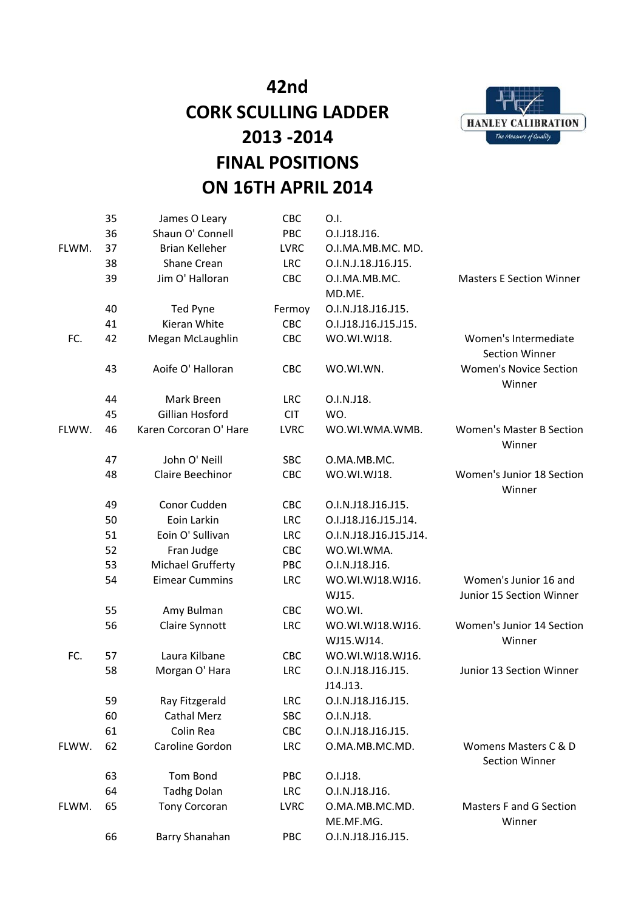

|       | 35 | James O Leary          | CBC         | O.I.                        |                                               |
|-------|----|------------------------|-------------|-----------------------------|-----------------------------------------------|
|       | 36 | Shaun O' Connell       | PBC         | O.I.J18.J16.                |                                               |
| FLWM. | 37 | <b>Brian Kelleher</b>  | <b>LVRC</b> | O.I.MA.MB.MC. MD.           |                                               |
|       | 38 | Shane Crean            | <b>LRC</b>  | O.I.N.J.18.J16.J15.         |                                               |
|       | 39 | Jim O' Halloran        | CBC         | O.I.MA.MB.MC.               | <b>Masters E Section Winner</b>               |
|       |    |                        |             | MD.ME.                      |                                               |
|       | 40 | Ted Pyne               | Fermoy      | O.I.N.J18.J16.J15.          |                                               |
|       | 41 | Kieran White           | CBC         | O.I.J18.J16.J15.J15.        |                                               |
| FC.   | 42 | Megan McLaughlin       | CBC         | WO.WI.WJ18.                 | Women's Intermediate<br><b>Section Winner</b> |
|       | 43 | Aoife O' Halloran      | CBC         | WO.WI.WN.                   | <b>Women's Novice Section</b><br>Winner       |
|       | 44 | Mark Breen             | <b>LRC</b>  | O.I.N.J18.                  |                                               |
|       | 45 | Gillian Hosford        | <b>CIT</b>  | WO.                         |                                               |
| FLWW. | 46 | Karen Corcoran O' Hare | <b>LVRC</b> | WO.WI.WMA.WMB.              | <b>Women's Master B Section</b><br>Winner     |
|       | 47 | John O' Neill          | <b>SBC</b>  | O.MA.MB.MC.                 |                                               |
|       | 48 | Claire Beechinor       | CBC         | WO.WI.WJ18.                 | Women's Junior 18 Section<br>Winner           |
|       | 49 | Conor Cudden           | CBC         | O.I.N.J18.J16.J15.          |                                               |
|       | 50 | Eoin Larkin            | <b>LRC</b>  | O.I.J18.J16.J15.J14.        |                                               |
|       | 51 | Eoin O' Sullivan       | <b>LRC</b>  | O.I.N.J18.J16.J15.J14.      |                                               |
|       | 52 | Fran Judge             | CBC         | WO.WI.WMA.                  |                                               |
|       | 53 | Michael Grufferty      | PBC         | O.I.N.J18.J16.              |                                               |
|       | 54 | <b>Eimear Cummins</b>  | <b>LRC</b>  | WO.WI.WJ18.WJ16.            | Women's Junior 16 and                         |
|       |    |                        |             | WJ15.                       | Junior 15 Section Winner                      |
|       | 55 | Amy Bulman             | CBC         | WO.WI.                      |                                               |
|       | 56 | Claire Synnott         | <b>LRC</b>  | WO.WI.WJ18.WJ16.            | Women's Junior 14 Section                     |
|       |    |                        |             | WJ15.WJ14.                  | Winner                                        |
| FC.   | 57 | Laura Kilbane          | CBC         | WO.WI.WJ18.WJ16.            |                                               |
|       | 58 | Morgan O' Hara         | <b>LRC</b>  | O.I.N.J18.J16.J15.          | Junior 13 Section Winner                      |
|       |    |                        |             | J14.J13.                    |                                               |
|       | 59 | Ray Fitzgerald         | <b>LRC</b>  | O.I.N.J18.J16.J15.          |                                               |
|       | 60 | <b>Cathal Merz</b>     | <b>SBC</b>  | O.I.N.J18.                  |                                               |
|       | 61 | Colin Rea              | CBC         | O.I.N.J18.J16.J15.          |                                               |
| FLWW. | 62 | Caroline Gordon        | <b>LRC</b>  | O.MA.MB.MC.MD.              | Womens Masters C & D<br><b>Section Winner</b> |
|       | 63 | Tom Bond               | PBC         | O.I.J18.                    |                                               |
|       | 64 | <b>Tadhg Dolan</b>     | <b>LRC</b>  | O.I.N.J18.J16.              |                                               |
| FLWM. | 65 | <b>Tony Corcoran</b>   | <b>LVRC</b> | O.MA.MB.MC.MD.<br>ME.MF.MG. | Masters F and G Section<br>Winner             |
|       | 66 | Barry Shanahan         | PBC         | O.I.N.J18.J16.J15.          |                                               |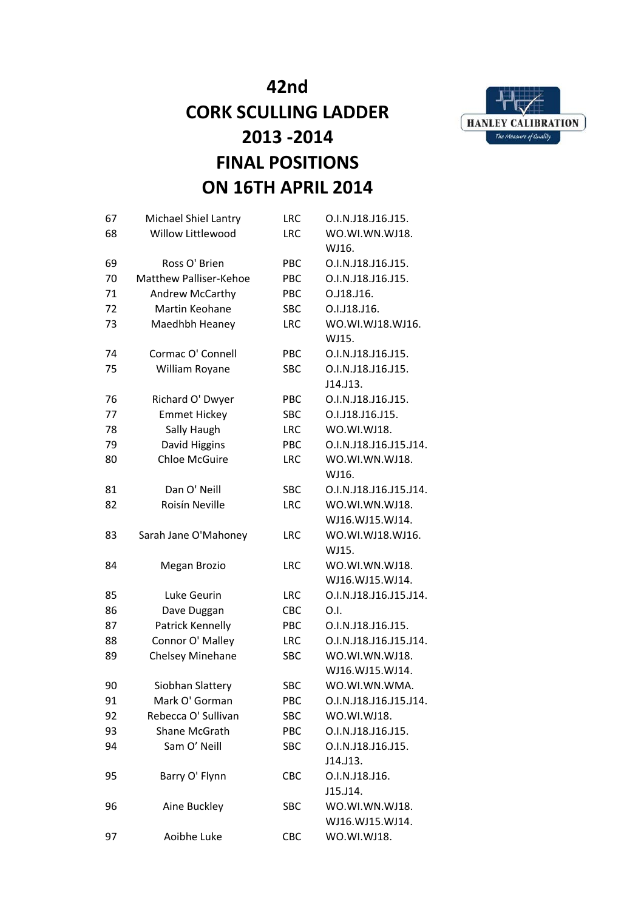



| 67 | Michael Shiel Lantry          | <b>LRC</b> | O.I.N.J18.J16.J15.     |
|----|-------------------------------|------------|------------------------|
| 68 | Willow Littlewood             | <b>LRC</b> | WO.WI.WN.WJ18.         |
|    |                               |            | WJ16.                  |
| 69 | Ross O' Brien                 | PBC        | O.I.N.J18.J16.J15.     |
| 70 | <b>Matthew Palliser-Kehoe</b> | PBC        | O.I.N.J18.J16.J15.     |
| 71 | Andrew McCarthy               | PBC        | O.J18.J16.             |
| 72 | Martin Keohane                | <b>SBC</b> | O.I.J18.J16.           |
| 73 | Maedhbh Heaney                | <b>LRC</b> | WO.WI.WJ18.WJ16.       |
|    |                               |            | WJ15.                  |
| 74 | Cormac O' Connell             | <b>PBC</b> | O.I.N.J18.J16.J15.     |
| 75 | William Royane                | <b>SBC</b> | O.I.N.J18.J16.J15.     |
|    |                               |            | J14.J13.               |
| 76 | Richard O' Dwyer              | <b>PBC</b> | O.I.N.J18.J16.J15.     |
| 77 | <b>Emmet Hickey</b>           | <b>SBC</b> | O.I.J18.J16.J15.       |
| 78 | Sally Haugh                   | <b>LRC</b> | WO.WI.WJ18.            |
| 79 | David Higgins                 | PBC        | O.I.N.J18.J16.J15.J14. |
| 80 | <b>Chloe McGuire</b>          | <b>LRC</b> | WO.WI.WN.WJ18.         |
|    |                               |            | WJ16.                  |
| 81 | Dan O' Neill                  | <b>SBC</b> | O.I.N.J18.J16.J15.J14. |
| 82 | Roisín Neville                | <b>LRC</b> | WO.WI.WN.WJ18.         |
|    |                               |            | WJ16.WJ15.WJ14.        |
| 83 | Sarah Jane O'Mahoney          | <b>LRC</b> | WO.WI.WJ18.WJ16.       |
|    |                               |            | WJ15.                  |
| 84 | Megan Brozio                  | <b>LRC</b> | WO.WI.WN.WJ18.         |
|    |                               |            | WJ16.WJ15.WJ14.        |
| 85 | Luke Geurin                   | <b>LRC</b> | O.I.N.J18.J16.J15.J14. |
| 86 | Dave Duggan                   | <b>CBC</b> | 0.1.                   |
| 87 | Patrick Kennelly              | PBC        | O.I.N.J18.J16.J15.     |
| 88 | Connor O' Malley              | <b>LRC</b> | O.I.N.J18.J16.J15.J14. |
| 89 | Chelsey Minehane              | <b>SBC</b> | WO.WI.WN.WJ18.         |
|    |                               |            | WJ16.WJ15.WJ14.        |
| 90 | Siobhan Slattery              | <b>SBC</b> | WO.WI.WN.WMA.          |
| 91 | Mark O' Gorman                | PBC        | O.I.N.J18.J16.J15.J14. |
| 92 | Rebecca O' Sullivan           | SBC        | WO.WI.WJ18.            |
| 93 | Shane McGrath                 | PBC        | O.I.N.J18.J16.J15.     |
| 94 | Sam O' Neill                  | <b>SBC</b> | O.I.N.J18.J16.J15.     |
|    |                               |            | J14.J13.               |
| 95 | Barry O' Flynn                | CBC        | O.I.N.J18.J16.         |
|    |                               |            | J15.J14.               |
| 96 | Aine Buckley                  | SBC        | WO.WI.WN.WJ18.         |
|    |                               |            | WJ16.WJ15.WJ14.        |
| 97 | Aoibhe Luke                   | CBC        | WO.WI.WJ18.            |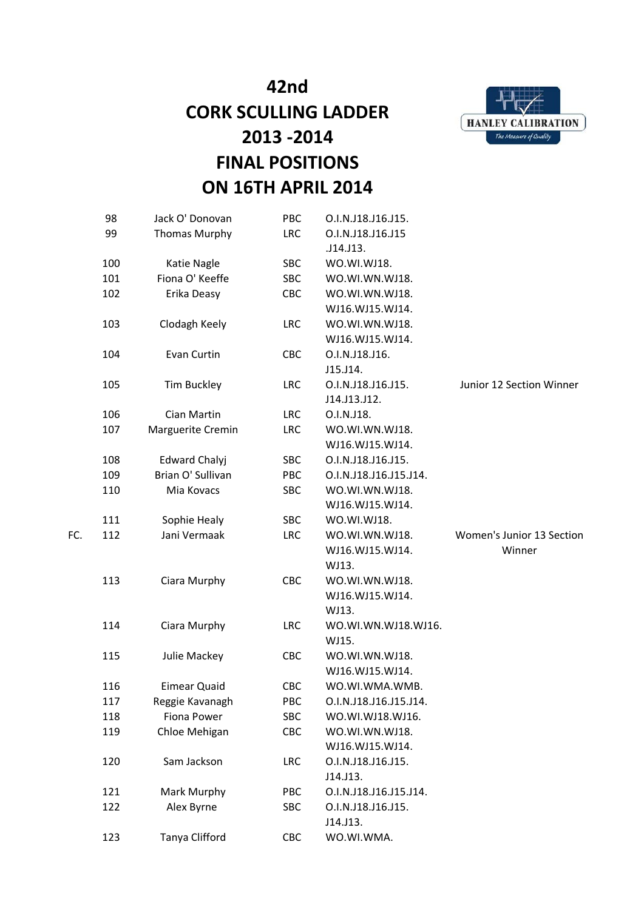

|     | 98  | Jack O' Donovan              | PBC               | O.I.N.J18.J16.J15.                 |                           |
|-----|-----|------------------------------|-------------------|------------------------------------|---------------------------|
|     | 99  | <b>Thomas Murphy</b>         | <b>LRC</b>        | O.I.N.J18.J16.J15                  |                           |
|     |     |                              |                   | .J14.J13.                          |                           |
|     | 100 | Katie Nagle                  | SBC               | WO.WI.WJ18.                        |                           |
|     | 101 | Fiona O' Keeffe              | <b>SBC</b>        | WO.WI.WN.WJ18.                     |                           |
|     | 102 | Erika Deasy                  | CBC               | WO.WI.WN.WJ18.                     |                           |
|     |     |                              |                   | WJ16.WJ15.WJ14.                    |                           |
|     | 103 | Clodagh Keely                | <b>LRC</b>        | WO.WI.WN.WJ18.                     |                           |
|     |     |                              |                   | WJ16.WJ15.WJ14.                    |                           |
|     | 104 | Evan Curtin                  | CBC               | O.I.N.J18.J16.                     |                           |
|     |     |                              |                   | J15.J14.                           |                           |
|     | 105 | <b>Tim Buckley</b>           | <b>LRC</b>        | O.I.N.J18.J16.J15.                 | Junior 12 Section Winner  |
|     |     |                              |                   | J14.J13.J12.                       |                           |
|     | 106 | Cian Martin                  | <b>LRC</b>        | O.I.N.J18.                         |                           |
|     | 107 | Marguerite Cremin            | <b>LRC</b>        | WO.WI.WN.WJ18.                     |                           |
|     |     |                              |                   | WJ16.WJ15.WJ14.                    |                           |
|     | 108 | <b>Edward Chalyj</b>         | <b>SBC</b>        | O.I.N.J18.J16.J15.                 |                           |
|     | 109 | Brian O' Sullivan            | <b>PBC</b>        | O.I.N.J18.J16.J15.J14.             |                           |
|     | 110 | Mia Kovacs                   | SBC               | WO.WI.WN.WJ18.                     |                           |
|     |     |                              |                   | WJ16.WJ15.WJ14.                    |                           |
|     | 111 | Sophie Healy                 | <b>SBC</b>        | WO.WI.WJ18.                        |                           |
| FC. | 112 | Jani Vermaak                 | <b>LRC</b>        | WO.WI.WN.WJ18.                     | Women's Junior 13 Section |
|     |     |                              |                   | WJ16.WJ15.WJ14.                    | Winner                    |
|     |     |                              |                   | WJ13.                              |                           |
|     | 113 | Ciara Murphy                 | CBC               | WO.WI.WN.WJ18.                     |                           |
|     |     |                              |                   | WJ16.WJ15.WJ14.                    |                           |
|     |     |                              |                   | WJ13.                              |                           |
|     | 114 | Ciara Murphy                 | <b>LRC</b>        | WO.WI.WN.WJ18.WJ16.                |                           |
|     |     |                              |                   | WJ15.                              |                           |
|     | 115 | Julie Mackey                 | CBC               | WO.WI.WN.WJ18.                     |                           |
|     |     |                              |                   | WJ16.WJ15.WJ14.                    |                           |
|     | 116 | <b>Eimear Quaid</b>          | CBC               | WO.WI.WMA.WMB.                     |                           |
|     | 117 | Reggie Kavanagh              | PBC               | O.I.N.J18.J16.J15.J14.             |                           |
|     | 118 | Fiona Power<br>Chloe Mehigan | <b>SBC</b><br>CBC | WO.WI.WJ18.WJ16.<br>WO.WI.WN.WJ18. |                           |
|     | 119 |                              |                   | WJ16.WJ15.WJ14.                    |                           |
|     | 120 | Sam Jackson                  | <b>LRC</b>        | O.I.N.J18.J16.J15.                 |                           |
|     |     |                              |                   | J14.J13.                           |                           |
|     | 121 | Mark Murphy                  | PBC               | O.I.N.J18.J16.J15.J14.             |                           |
|     | 122 | Alex Byrne                   | <b>SBC</b>        | O.I.N.J18.J16.J15.                 |                           |
|     |     |                              |                   | J14.J13.                           |                           |
|     | 123 | Tanya Clifford               | CBC               | WO.WI.WMA.                         |                           |
|     |     |                              |                   |                                    |                           |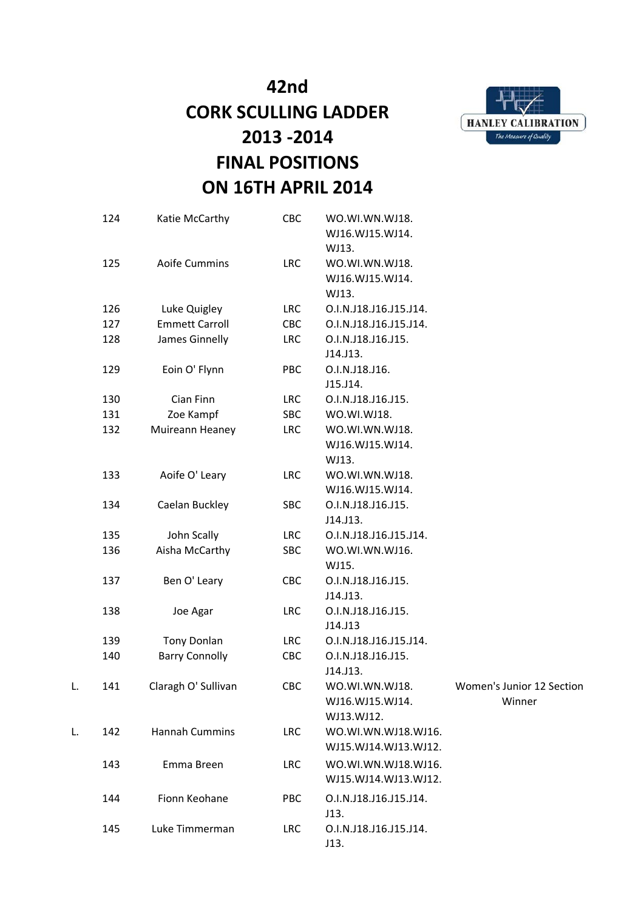

|    | 124 | Katie McCarthy        | CBC        | WO.WI.WN.WJ18.<br>WJ16.WJ15.WJ14.                   |                                     |
|----|-----|-----------------------|------------|-----------------------------------------------------|-------------------------------------|
|    | 125 | Aoife Cummins         | <b>LRC</b> | WJ13.<br>WO.WI.WN.WJ18.<br>WJ16.WJ15.WJ14.<br>WJ13. |                                     |
|    | 126 | Luke Quigley          | <b>LRC</b> | O.I.N.J18.J16.J15.J14.                              |                                     |
|    | 127 | <b>Emmett Carroll</b> | CBC        | O.I.N.J18.J16.J15.J14.                              |                                     |
|    | 128 | James Ginnelly        | <b>LRC</b> | O.I.N.J18.J16.J15.<br>J14.J13.                      |                                     |
|    | 129 | Eoin O' Flynn         | <b>PBC</b> | O.I.N.J18.J16.<br>J15.J14.                          |                                     |
|    | 130 | Cian Finn             | <b>LRC</b> | O.I.N.J18.J16.J15.                                  |                                     |
|    | 131 | Zoe Kampf             | SBC        | WO.WI.WJ18.                                         |                                     |
|    | 132 | Muireann Heaney       | LRC        | WO.WI.WN.WJ18.<br>WJ16.WJ15.WJ14.<br>WJ13.          |                                     |
|    | 133 | Aoife O' Leary        | <b>LRC</b> | WO.WI.WN.WJ18.<br>WJ16.WJ15.WJ14.                   |                                     |
|    | 134 | Caelan Buckley        | SBC        | O.I.N.J18.J16.J15.<br>J14.J13.                      |                                     |
|    | 135 | John Scally           | <b>LRC</b> | O.I.N.J18.J16.J15.J14.                              |                                     |
|    | 136 | Aisha McCarthy        | SBC        | WO.WI.WN.WJ16.<br>WJ15.                             |                                     |
|    | 137 | Ben O' Leary          | CBC        | O.I.N.J18.J16.J15.<br>J14.J13.                      |                                     |
|    | 138 | Joe Agar              | <b>LRC</b> | O.I.N.J18.J16.J15.<br>J14.J13                       |                                     |
|    | 139 | <b>Tony Donlan</b>    | <b>LRC</b> | O.I.N.J18.J16.J15.J14.                              |                                     |
|    | 140 | <b>Barry Connolly</b> | CBC        | O.I.N.J18.J16.J15.<br>J14.J13.                      |                                     |
| L. | 141 | Claragh O' Sullivan   | CBC        | WO.WI.WN.WJ18.<br>WJ16.WJ15.WJ14.<br>WJ13.WJ12.     | Women's Junior 12 Section<br>Winner |
| L. | 142 | <b>Hannah Cummins</b> | <b>LRC</b> | WO.WI.WN.WJ18.WJ16.<br>WJ15.WJ14.WJ13.WJ12.         |                                     |
|    | 143 | Emma Breen            | <b>LRC</b> | WO.WI.WN.WJ18.WJ16.<br>WJ15.WJ14.WJ13.WJ12.         |                                     |
|    | 144 | Fionn Keohane         | PBC        | O.I.N.J18.J16.J15.J14.<br>J13.                      |                                     |
|    | 145 | Luke Timmerman        | <b>LRC</b> | O.I.N.J18.J16.J15.J14.<br>J13.                      |                                     |